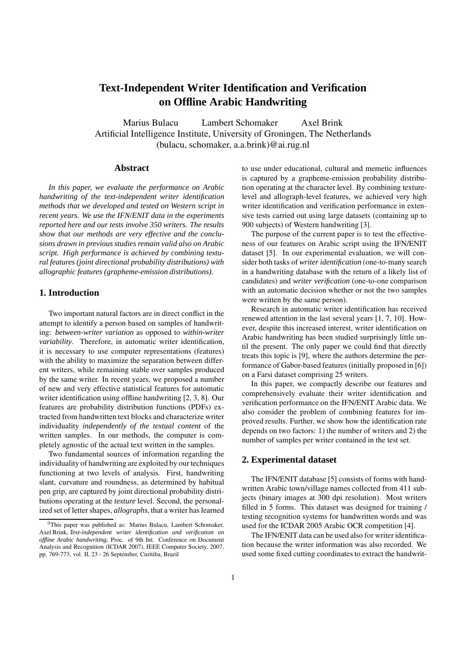# **Text-Independent Writer Identification and Verification on Offline Arabic Handwriting**

Marius Bulacu Lambert Schomaker Axel Brink Artificial Intelligence Institute, University of Groningen, The Netherlands (bulacu, schomaker, a.a.brink)@ai.rug.nl

## **Abstract**

*In this paper, we evaluate the performance on Arabic handwriting of the text-independent writer identification methods that we developed and tested on Western script in recent years. We use the IFN/ENIT data in the experiments reported here and our tests involve 350 writers. The results show that our methods are very effective and the conclusions drawn in previous studies remain valid also on Arabic script. High performance is achieved by combining textural features (joint directional probability distributions) with allographic features (grapheme-emission distributions).*

# **1. Introduction**

Two important natural factors are in direct conflict in the attempt to identify a person based on samples of handwriting: *between-writer variation* as opposed to *within-writer variability*. Therefore, in automatic writer identification, it is necessary to use computer representations (features) with the ability to maximize the separation between different writers, while remaining stable over samples produced by the same writer. In recent years, we proposed a number of new and very effective statistical features for automatic writer identification using offline handwriting [2, 3, 8]. Our features are probability distribution functions (PDFs) extracted from handwritten text blocks and characterize writer individuality *independently of the textual content* of the written samples. In our methods, the computer is completely agnostic of the actual text written in the samples.

Two fundamental sources of information regarding the individuality of handwriting are exploited by our techniques functioning at two levels of analysis. First, handwriting slant, curvature and roundness, as determined by habitual pen grip, are captured by joint directional probability distributions operating at the *texture* level. Second, the personalized set of letter shapes, *allographs*, that a writer has learned to use under educational, cultural and memetic influences is captured by a grapheme-emission probability distribution operating at the character level. By combining texturelevel and allograph-level features, we achieved very high writer identification and verification performance in extensive tests carried out using large datasets (containing up to 900 subjects) of Western handwriting [3].

The purpose of the current paper is to test the effectiveness of our features on Arabic script using the IFN/ENIT dataset [5]. In our experimental evaluation, we will consider both tasks of *writer identification* (one-to-many search in a handwriting database with the return of a likely list of candidates) and *writer verification* (one-to-one comparison with an automatic decision whether or not the two samples were written by the same person).

Research in automatic writer identification has received renewed attention in the last several years [1, 7, 10]. However, despite this increased interest, writer identification on Arabic handwriting has been studied surprisingly little until the present. The only paper we could find that directly treats this topic is [9], where the authors determine the performance of Gabor-based features (initially proposed in [6]) on a Farsi dataset comprising 25 writers.

In this paper, we compactly describe our features and comprehensively evaluate their writer identification and verification performance on the IFN/ENIT Arabic data. We also consider the problem of combining features for improved results. Further, we show how the identification rate depends on two factors: 1) the number of writers and 2) the number of samples per writer contained in the test set.

## **2. Experimental dataset**

The IFN/ENIT database [5] consists of forms with handwritten Arabic town/village names collected from 411 subjects (binary images at 300 dpi resolution). Most writers filled in 5 forms. This dataset was designed for training / testing recognition systems for handwritten words and was used for the ICDAR 2005 Arabic OCR competition [4].

The IFN/ENIT data can be used also for writer identification because the writer information was also recorded. We used some fixed cutting coordinates to extract the handwrit-

 $0$ This paper was published as: Marius Bulacu, Lambert Schomaker, Axel Brink, *Text-independent writer identification and verification on offline Arabic handwriting*, Proc. of 9th Int. Conference on Document Analysis and Recognition (ICDAR 2007), IEEE Computer Society, 2007, pp. 769-773, vol. II, 23 - 26 September, Curitiba, Brazil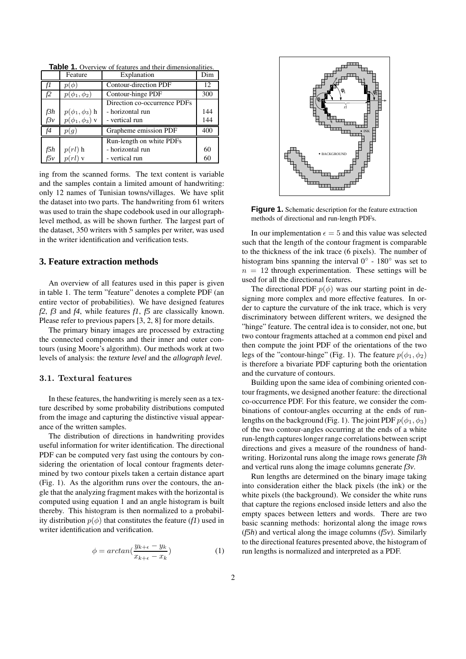**Table 1.** Overview of features and their dimensionalities.

|     | Feature                | Explanation                  | Dim |
|-----|------------------------|------------------------------|-----|
| fI  | $p(\phi)$              | <b>Contour-direction PDF</b> | 12  |
| f2  | $p(\phi_1, \phi_2)$    | Contour-hinge PDF            | 300 |
|     |                        | Direction co-occurrence PDFs |     |
| f3h | $p(\phi_1, \phi_3)$ h  | - horizontal run             | 144 |
| f3v | $p(\phi_1, \phi_3)$ v  | - vertical run               | 144 |
| f4  | p(g)                   | Grapheme emission PDF        | 400 |
|     |                        | Run-length on white PDFs     |     |
| f5h | $p(rl)$ h<br>$p(rl)$ v | - horizontal run             | 60  |
| f5v |                        | - vertical run               | 60  |

ing from the scanned forms. The text content is variable and the samples contain a limited amount of handwriting: only 12 names of Tunisian towns/villages. We have split the dataset into two parts. The handwriting from 61 writers was used to train the shape codebook used in our allographlevel method, as will be shown further. The largest part of the dataset, 350 writers with 5 samples per writer, was used in the writer identification and verification tests.

## **3. Feature extraction methods**

An overview of all features used in this paper is given in table 1. The term "feature" denotes a complete PDF (an entire vector of probabilities). We have designed features *f2*, *f3* and *f4*, while features *f1*, *f5* are classically known. Please refer to previous papers [3, 2, 8] for more details.

The primary binary images are processed by extracting the connected components and their inner and outer contours (using Moore's algorithm). Our methods work at two levels of analysis: the *texture level* and the *allograph level*.

#### 3.1. Textural features

In these features, the handwriting is merely seen as a texture described by some probability distributions computed from the image and capturing the distinctive visual appearance of the written samples.

The distribution of directions in handwriting provides useful information for writer identification. The directional PDF can be computed very fast using the contours by considering the orientation of local contour fragments determined by two contour pixels taken a certain distance apart (Fig. 1). As the algorithm runs over the contours, the angle that the analyzing fragment makes with the horizontal is computed using equation 1 and an angle histogram is built thereby. This histogram is then normalized to a probability distribution  $p(\phi)$  that constitutes the feature (*f1*) used in writer identification and verification.

$$
\phi = \arctan(\frac{y_{k+\epsilon} - y_k}{x_{k+\epsilon} - x_k})\tag{1}
$$



**Figure 1.** Schematic description for the feature extraction methods of directional and run-length PDFs.

In our implementation  $\epsilon = 5$  and this value was selected such that the length of the contour fragment is comparable to the thickness of the ink trace (6 pixels). The number of histogram bins spanning the interval  $0^{\circ}$  - 180 $^{\circ}$  was set to  $n = 12$  through experimentation. These settings will be used for all the directional features.

The directional PDF  $p(\phi)$  was our starting point in designing more complex and more effective features. In order to capture the curvature of the ink trace, which is very discriminatory between different writers, we designed the "hinge" feature. The central idea is to consider, not one, but two contour fragments attached at a common end pixel and then compute the joint PDF of the orientations of the two legs of the "contour-hinge" (Fig. 1). The feature  $p(\phi_1, \phi_2)$ is therefore a bivariate PDF capturing both the orientation and the curvature of contours.

Building upon the same idea of combining oriented contour fragments, we designed another feature: the directional co-occurrence PDF. For this feature, we consider the combinations of contour-angles occurring at the ends of runlengths on the background (Fig. 1). The joint PDF  $p(\phi_1, \phi_3)$ of the two contour-angles occurring at the ends of a white run-length captureslonger range correlations between script directions and gives a measure of the roundness of handwriting. Horizontal runs along the image rows generate *f3h* and vertical runs along the image columns generate *f3v*.

Run lengths are determined on the binary image taking into consideration either the black pixels (the ink) or the white pixels (the background). We consider the white runs that capture the regions enclosed inside letters and also the empty spaces between letters and words. There are two basic scanning methods: horizontal along the image rows (*f5h*) and vertical along the image columns (*f5v*). Similarly to the directional features presented above, the histogram of run lengths is normalized and interpreted as a PDF.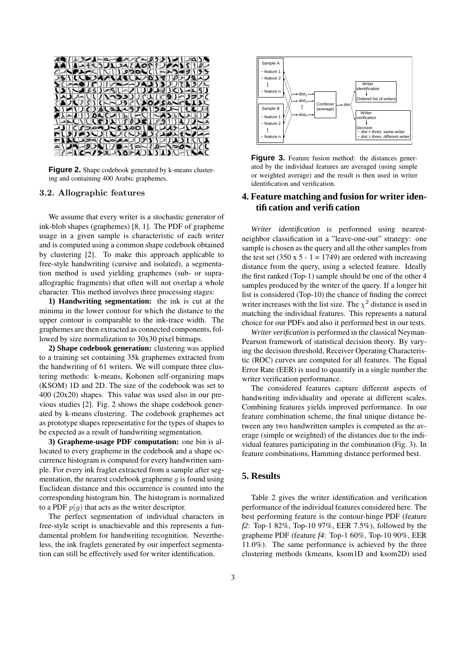

**Figure 2.** Shape codebook generated by k-means clustering and containing 400 Arabic graphemes.

#### 3.2. Allographic features

We assume that every writer is a stochastic generator of ink-blob shapes (graphemes) [8, 1]. The PDF of grapheme usage in a given sample is characteristic of each writer and is computed using a common shape codebook obtained by clustering [2]. To make this approach applicable to free-style handwriting (cursive and isolated), a segmentation method is used yielding graphemes (sub- or supraallographic fragments) that often will not overlap a whole character. This method involves three processing stages:

**1) Handwriting segmentation:** the ink is cut at the minima in the lower contour for which the distance to the upper contour is comparable to the ink-trace width. The graphemes are then extracted as connected components, followed by size normalization to 30x30 pixel bitmaps.

**2) Shape codebook generation:** clustering was applied to a training set containing 35k graphemes extracted from the handwriting of 61 writers. We will compare three clustering methods: k-means, Kohonen self-organizing maps (KSOM) 1D and 2D. The size of the codebook was set to 400 (20x20) shapes. This value was used also in our previous studies [2]. Fig. 2 shows the shape codebook generated by k-means clustering. The codebook graphemes act as prototype shapes representative for the types of shapes to be expected as a result of handwriting segmentation.

**3) Grapheme-usage PDF computation:** one bin is allocated to every grapheme in the codebook and a shape occurrence histogram is computed for every handwritten sample. For every ink fraglet extracted from a sample after segmentation, the nearest codebook grapheme  $q$  is found using Euclidean distance and this occurrence is counted into the corresponding histogram bin. The histogram is normalized to a PDF  $p(q)$  that acts as the writer descriptor.

The perfect segmentation of individual characters in free-style script is unachievable and this represents a fundamental problem for handwriting recognition. Nevertheless, the ink fraglets generated by our imperfect segmentation can still be effectively used for writer identification.



**Figure 3.** Feature fusion method: the distances generated by the individual features are averaged (using simple or weighted average) and the result is then used in writer identification and verification.

# **4. Feature matching and fusion for writer identification and verification**

*Writer identification* is performed using nearestneighbor classification in a "leave-one-out" strategy: one sample is chosen as the query and all the other samples from the test set (350 x 5 - 1 = 1749) are ordered with increasing distance from the query, using a selected feature. Ideally the first ranked (Top-1) sample should be one of the other 4 samples produced by the writer of the query. If a longer hit list is considered (Top-10) the chance of finding the correct writer increases with the list size. The  $\chi^2$  distance is used in matching the individual features. This represents a natural choice for our PDFs and also it performed best in our tests.

*Writer verification* is performed in the classical Neyman-Pearson framework of statistical decision theory. By varying the decision threshold, Receiver Operating Characteristic (ROC) curves are computed for all features. The Equal Error Rate (EER) is used to quantify in a single number the writer verification performance.

The considered features capture different aspects of handwriting individuality and operate at different scales. Combining features yields improved performance. In our feature combination scheme, the final unique distance between any two handwritten samples is computed as the average (simple or weighted) of the distances due to the individual features participating in the combination (Fig. 3). In feature combinations, Hamming distance performed best.

## **5. Results**

Table 2 gives the writer identification and verification performance of the individual features considered here. The best performing feature is the contour-hinge PDF (feature *f2*: Top-1 82%, Top-10 97%, EER 7.5%), followed by the grapheme PDF (feature *f4*: Top-1 60%, Top-10 90%, EER 11.0%). The same performance is achieved by the three clustering methods (kmeans, ksom1D and ksom2D) used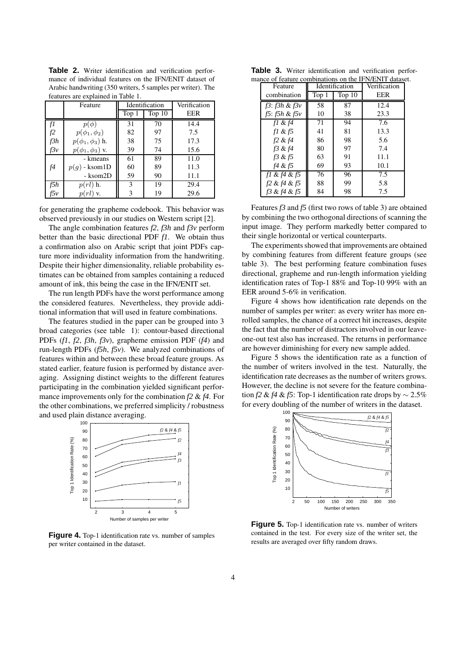| teatures are explained in Table 1. |                        |                |          |              |  |  |
|------------------------------------|------------------------|----------------|----------|--------------|--|--|
|                                    | Feature                | Identification |          | Verification |  |  |
|                                    |                        | Top 1          | Top $10$ | EER          |  |  |
| fI                                 | $p(\phi)$              | 31             | 70       | 14.4         |  |  |
| f2                                 | $p(\phi_1, \phi_2)$    | 82             | 97       | 7.5          |  |  |
| $f3h$<br>$f3v$                     | $p(\phi_1, \phi_3)$ h. | 38             | 75       | 17.3         |  |  |
|                                    | $p(\phi_1, \phi_3)$ v. | 39             | 74       | 15.6         |  |  |
|                                    | - kmeans               | 61             | 89       | 11.0         |  |  |
| f4                                 | $p(g)$ - ksom 1D       | 60             | 89       | 11.3         |  |  |
|                                    | - ksom2D               | 59             | 90       | 11.1         |  |  |
|                                    | h.                     | 3              | 19       | 29.4         |  |  |

**Table 2.** Writer identification and verification performance of individual features on the IFN/ENIT dataset of Arabic handwriting (350 writers, 5 samples per writer). The features are explained in Table 1.

for generating the grapheme codebook. This behavior was observed previously in our studies on Western script [2].

*f5v p(rl)* v. **3** 19 29.6

The angle combination features *f2*, *f3h* and *f3v* perform better than the basic directional PDF *f1*. We obtain thus a confirmation also on Arabic script that joint PDFs capture more individuality information from the handwriting. Despite their higher dimensionality, reliable probability estimates can be obtained from samples containing a reduced amount of ink, this being the case in the IFN/ENIT set.

The run length PDFs have the worst performance among the considered features. Nevertheless, they provide additional information that will used in feature combinations.

The features studied in the paper can be grouped into 3 broad categories (see table 1): contour-based directional PDFs (*f1*, *f2*, *f3h*, *f3v*), grapheme emission PDF (*f4*) and run-length PDFs (*f5h*, *f5v*). We analyzed combinations of features within and between these broad feature groups. As stated earlier, feature fusion is performed by distance averaging. Assigning distinct weights to the different features participating in the combination yielded significant performance improvements only for the combination *f2* & *f4*. For the other combinations, we preferred simplicity / robustness and used plain distance averaging.



**Figure 4.** Top-1 identification rate vs. number of samples per writer contained in the dataset.

| iance of reature combinations on the IFTV/ENTT dataset |                       |                   |              |  |  |  |
|--------------------------------------------------------|-----------------------|-------------------|--------------|--|--|--|
| Feature                                                | <b>Identification</b> |                   | Verification |  |  |  |
| combination                                            | Top 1                 | Top <sub>10</sub> | EER          |  |  |  |
| $f3$ : $f3h$ & $f3v$                                   | 58                    | 87                | 12.4         |  |  |  |
| $f5$ : $f5h$ & $f5v$                                   | 10                    | 38                | 23.3         |  |  |  |
| fl & $f4$                                              | 71                    | 94                | 7.6          |  |  |  |
| f1 & f5                                                | 41                    | 81                | 13.3         |  |  |  |
| f2 & f4                                                | 86                    | 98                | 5.6          |  |  |  |
| f3 & f4                                                | 80                    | 97                | 7.4          |  |  |  |
| $f3$ & $f5$                                            | 63                    | 91                | 11.1         |  |  |  |
| f4 & f5                                                | 69                    | 93                | 10.1         |  |  |  |

**Table 3.** Writer identification and verification performance of feature combinations on the IFN/ENIT dat

Features *f3* and *f5* (first two rows of table 3) are obtained by combining the two orthogonal directions of scanning the input image. They perform markedly better compared to their single horizontal or vertical counterparts.

*f1* & *f4* & *f5* 76 96 7.5 *f2* & *f4* & *f5* 88 99 5.8 *f3* & *f4* & *f5* 84 98 7.5

The experiments showed that improvements are obtained by combining features from different feature groups (see table 3). The best performing feature combination fuses directional, grapheme and run-length information yielding identification rates of Top-1 88% and Top-10 99% with an EER around 5-6% in verification.

Figure 4 shows how identification rate depends on the number of samples per writer: as every writer has more enrolled samples, the chance of a correct hit increases, despite the fact that the number of distractors involved in our leaveone-out test also has increased. The returns in performance are however diminishing for every new sample added.

Figure 5 shows the identification rate as a function of the number of writers involved in the test. Naturally, the identification rate decreases as the number of writers grows. However, the decline is not severe for the feature combination *f2* & *f4* & *f5*: Top-1 identification rate drops by  $\sim$  2.5% for every doubling of the number of writers in the dataset.



**Figure 5.** Top-1 identification rate vs. number of writers contained in the test. For every size of the writer set, the results are averaged over fifty random draws.